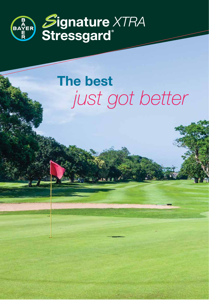

# **The best** *just got better*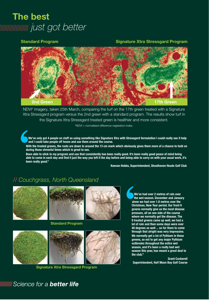# **The best**  *just got better*

#### **Standard Program Signature Xtra Stressgard Program**



NDVI\* imagery, taken 25th March, comparing the turf on the 17th green treated with a Signature Xtra Stressgard program versus the 2nd green with a standard program. The results show turf in the Signature Xtra Stressgard treated green is healthier and more consistent.

\*NDVI = normalised difference vegetation index.

**We've only got 4 people on staff so using something like Signature Xtra with Stressgard formulation I could really see it help and I could take people off hoses and use them around the course.** 

**With the treated greens, the roots are down to around the 13 cm mark which obviously gives them more of a chance to hold on during those stressful times which is great to see.**

**Been able to stick to my program and use that consistently has been really good. It's been really good peace of mind being able to come in each day and find it just the way you left it the day before and being able to carry on with your usual work, it's been really good."** 

**Keenan Hobbs, Superintendent, Shoalhaven Heads Golf Club**

### // *Couchgrass, North Queensland*







**Standard Program**



**Signature Xtra Stressgard Program**

**We've had over 2 metres of rain over the wet season. December and January alone we had over 1.8 metres over the Christmas, New Year period. Our front 9 greens normally give us the most disease pressure, all on one side of the course where we normally get the disease. The 9 treated greens came up well, we had a lot of rain and then some days were over 40 degrees as well ... so for them to come through that alright was very impressive. We normally get a lot of Pythium in these greens, so not to get any major Pythium outbreaks throughout the entire wet season, and it's been a really bad wet season this year, has meant a great deal to the club."** 

**Grant Cockerell Superintendent, Half Moon Bay Golf Course**

# WWWWW Science for a **better life**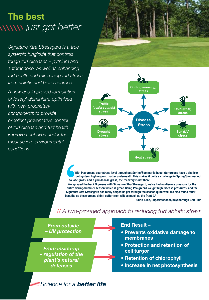# **The best**  *just got better*

*Signature Xtra Stressgard is a true systemic fungicide that controls tough turf diseases – pythium and anthracnose, as well as enhancing turf health and minimising turf stress from abiotic and biotic sources.*

*A new and improved formulation of fosetyl-aluminium, optimised with new proprietary components to provide excellent preventative control of turf disease and turf health improvement even under the most severe environmental conditions.*





**With Poa greens your stress level throughout Spring/Summer is huge! Our greens have a shallow root system, high organic matter underneath. This makes it quite a challenge in Spring/Summer not to lose grass, and if you do lose grass, the recovery is not there.**

**We sprayed the back 9 greens with Signature Xtra Stressgard, we've had no disease pressure for the entire Spring/Summer season which is great. Being Poa greens we get high disease pressures, and the Signature Xtra Stressgard has really helped us get through the season quite well. We also found other benefits as these greens didn't suffer from wilt as much as the front 9."**

#### **Chris Allen, Superintendent, Keysborough Golf Club**

### *geography, turf type and climatic conditions.* // *A two-pronged approach to reducing turf abiotic stress*

*From outside – UV protection From inside-up – regulation of the plant's natural defenses*

#### **End Result –**

- **Prevents oxidative damage to membranes**
- **Protection and retention of cell turgor**
- **Retention of chlorophyll**
- **Increase in net photosynthesis**

## **IIIIIIIIII Science for a <b>better life**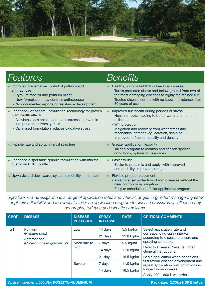

| <b>Features</b>                                                                                                                                                                                                                   | <b>Benefits</b>                                                                                                                                                                                                                                                                                               |
|-----------------------------------------------------------------------------------------------------------------------------------------------------------------------------------------------------------------------------------|---------------------------------------------------------------------------------------------------------------------------------------------------------------------------------------------------------------------------------------------------------------------------------------------------------------|
| // Improved preventative control of pythium and<br>anthracnose<br>- Pythium root rot and pythium blight<br>- New formulation now controls anthracnose<br>- No documented reports of resistance development                        | // Healthy, uniform turf that is free from disease<br>- Turf is protected above and below ground from two of<br>the most damaging diseases to highly maintained turf<br>- Trusted disease control with no known resistance after<br>30 years of use                                                           |
| // Enhanced Stressgard Formulation Technology for proven<br>plant health effects<br>- Alleviates both abiotic and biotic stresses, proven in<br>independent university trials<br>- Optimised formulation reduces oxidative stress | Improved turf health during periods of stress<br>$\prime\prime$<br>- Healthier roots, leading to better water and nutrient<br>utilisation<br>- Wilt protection<br>- Mitigation and recovery from wear stress and<br>mechanical damage (eg. aeration, scalping)<br>- Improved turf colour, quality and density |
| // Flexible rate and spray interval structure                                                                                                                                                                                     | // Greater application flexibility<br>- Tailor a program to location and season specific<br>conditions, optimising resources                                                                                                                                                                                  |
| // Enhanced dispersable granule formulation with minimal<br>dust in an HDPE bottle                                                                                                                                                | // Easier to use<br>- Easier to pour, mix and apply, with improved<br>compatibility. Improved storage                                                                                                                                                                                                         |
| // Upwards and downwards systemic mobility in the plant                                                                                                                                                                           | Flexible product placement<br>$\prime\prime$<br>- Able to target protection of root diseases without the<br>need for follow up irrigation<br>- Easy to schedule into foliar application program                                                                                                               |

*Signature Xtra Stressgard has a range of application rates and interval ranges to give turf managers greater application flexibility and the ability to tailor an application program to disease pressures as influenced by geography, turf type and climatic conditions.* // *A two-pronged approach to reducing turf abiotic stress*

| <b>CROP</b>                                                                   | <b>DISEASE</b>                                                            | <b>DISEASE</b><br><b>PRESSURE</b> | <b>SPRAY</b><br><b>INTERVAL</b> | <b>RATE</b> | <b>CRITICAL COMMENTS</b>                                                                                                                                                                                                                                                                                                            |  |
|-------------------------------------------------------------------------------|---------------------------------------------------------------------------|-----------------------------------|---------------------------------|-------------|-------------------------------------------------------------------------------------------------------------------------------------------------------------------------------------------------------------------------------------------------------------------------------------------------------------------------------------|--|
| Turf                                                                          | Pythium<br>(Pythium spp.)<br>Anthracnose<br>(Colletotrichium graminicola) | Low                               | 14 days                         | 5.5 kg/ha   | Select application rate and<br>corresponding spray interval<br>according to disease pressure and<br>spraying schedule.<br>Refer to Disease Pressure under<br>General Instructions.<br>Begin application when conditions<br>first favour disease development and<br>repeat application until conditions no<br>longer favour disease. |  |
|                                                                               |                                                                           |                                   | 21 days                         | 11.0 kg/ha  |                                                                                                                                                                                                                                                                                                                                     |  |
|                                                                               |                                                                           | Moderate to<br>high               | 7 days                          | 5.5 $kg/ha$ |                                                                                                                                                                                                                                                                                                                                     |  |
|                                                                               |                                                                           |                                   | 14 days                         | 11.0 kg/ha  |                                                                                                                                                                                                                                                                                                                                     |  |
|                                                                               |                                                                           |                                   | 21 days                         | 16.5 kg/ha  |                                                                                                                                                                                                                                                                                                                                     |  |
|                                                                               |                                                                           | Severe                            | 7 days                          | 11.0 kg/ha  |                                                                                                                                                                                                                                                                                                                                     |  |
|                                                                               |                                                                           |                                   | 14 days                         | 16.5 kg/ha  |                                                                                                                                                                                                                                                                                                                                     |  |
|                                                                               |                                                                           |                                   |                                 |             | Apply 400 - 800 L water/ha.                                                                                                                                                                                                                                                                                                         |  |
| Pack size: 2.75kg HDPE bottle<br>Active ingredient: 600g/kg FOSETYL-ALUMINIUM |                                                                           |                                   |                                 |             |                                                                                                                                                                                                                                                                                                                                     |  |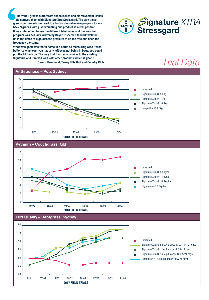**Our front 9 greens suffer from shade issues and air movement issues. We sprayed them with Signature Xtra Stressgard. The way these greens performed compared to a fairly comprehensive program for our back 9 greens with just circulating one product, is a real positive. It was interesting to see the different label rates and the way the program was actually written by Bayer. It seemed to work well for us in the times of high disease pressure to up the rate and keep the frequency the same.**

50 **Signature and it mixed well with other products which is good." What was good was that it came in a bottle so measuring wise it was better so whenever you had any left over, not being in bags, you could put the lid back on. The way that it mixes is similar to the existing Gareth Hammond, Terrey Hills Golf and Country Club**







**2017 FIELD TRIALS** 31/01 07/02 14/02 21/02 28/02 07/03 14/03 21/03

 $\overline{3}$ 1/01 07/02 14/02 14/02 21/02 21/03 14/02 21/03 14/03 21/03 14/03 21/03 14/03 21/03 14/03 14/03 14/03 14/03 14/03 14/03 14/03 14/03 14/03 14/03 14/03 14/03 14/03 14/03 14/03 14/03 14/03 14/03 14/03 14/03 14/03 14/0